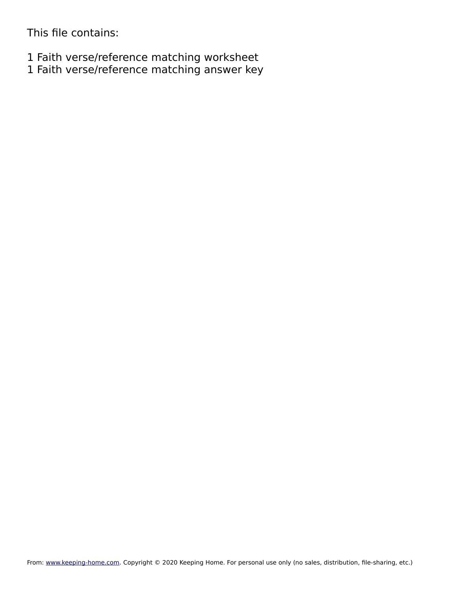This file contains:

- 1 Faith verse/reference matching worksheet
- 1 Faith verse/reference matching answer key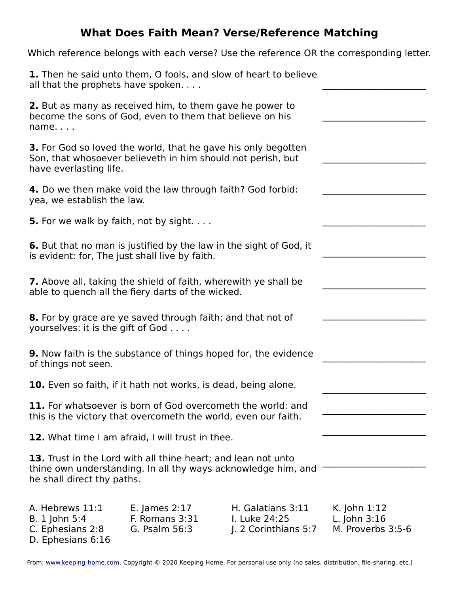## **What Does Faith Mean? Verse/Reference Matching**

Which reference belongs with each verse? Use the reference OR the corresponding letter.

| all that the prophets have spoken                                                                                                      |                                                                                                                                     | 1. Then he said unto them, O fools, and slow of heart to believe       |                                                     |
|----------------------------------------------------------------------------------------------------------------------------------------|-------------------------------------------------------------------------------------------------------------------------------------|------------------------------------------------------------------------|-----------------------------------------------------|
| 2. But as many as received him, to them gave he power to<br>become the sons of God, even to them that believe on his<br>name. $\ldots$ |                                                                                                                                     |                                                                        |                                                     |
| have everlasting life.                                                                                                                 | <b>3.</b> For God so loved the world, that he gave his only begotten<br>Son, that whosoever believeth in him should not perish, but |                                                                        |                                                     |
| yea, we establish the law.                                                                                                             | 4. Do we then make void the law through faith? God forbid:                                                                          |                                                                        |                                                     |
| <b>5.</b> For we walk by faith, not by sight.                                                                                          |                                                                                                                                     |                                                                        |                                                     |
| 6. But that no man is justified by the law in the sight of God, it<br>is evident: for, The just shall live by faith.                   |                                                                                                                                     |                                                                        |                                                     |
| <b>7.</b> Above all, taking the shield of faith, wherewith ye shall be<br>able to quench all the fiery darts of the wicked.            |                                                                                                                                     |                                                                        |                                                     |
| <b>8.</b> For by grace are ye saved through faith; and that not of<br>yourselves: it is the gift of God                                |                                                                                                                                     |                                                                        |                                                     |
| of things not seen.                                                                                                                    |                                                                                                                                     | <b>9.</b> Now faith is the substance of things hoped for, the evidence |                                                     |
|                                                                                                                                        | 10. Even so faith, if it hath not works, is dead, being alone.                                                                      |                                                                        |                                                     |
|                                                                                                                                        | 11. For whatsoever is born of God overcometh the world: and<br>this is the victory that overcometh the world, even our faith.       |                                                                        |                                                     |
|                                                                                                                                        | 12. What time I am afraid, I will trust in thee.                                                                                    |                                                                        |                                                     |
| he shall direct thy paths.                                                                                                             | 13. Trust in the Lord with all thine heart; and lean not unto                                                                       | thine own understanding. In all thy ways acknowledge him, and          |                                                     |
| A. Hebrews 11:1<br>B. 1 John 5:4<br>C. Ephesians 2:8<br>D. Ephesians 6:16                                                              | E. James $2:17$<br>F. Romans 3:31<br>G. Psalm 56:3                                                                                  | H. Galatians 3:11<br>I. Luke 24:25<br>J. 2 Corinthians 5:7             | K. John 1:12<br>L. John $3:16$<br>M. Proverbs 3:5-6 |